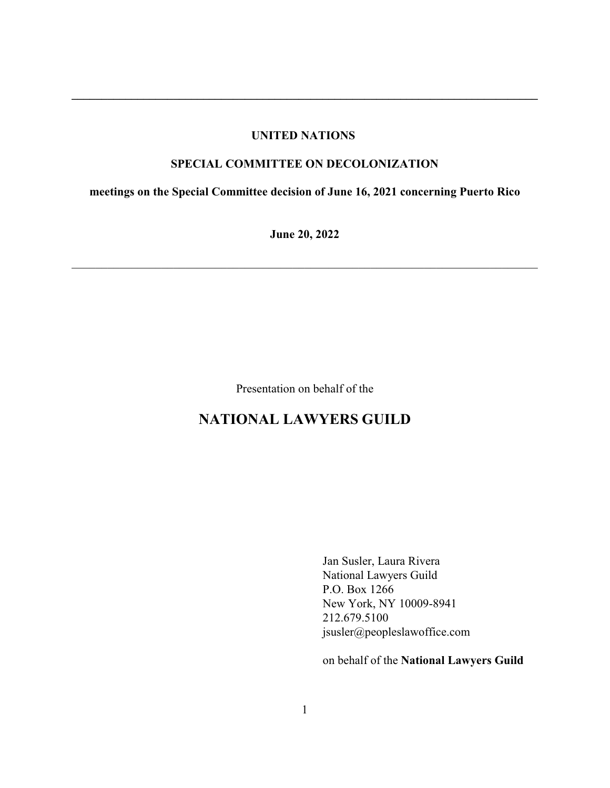# **UNITED NATIONS**

**\_\_\_\_\_\_\_\_\_\_\_\_\_\_\_\_\_\_\_\_\_\_\_\_\_\_\_\_\_\_\_\_\_\_\_\_\_\_\_\_\_\_\_\_\_\_\_\_\_\_\_\_\_\_\_\_\_\_\_\_\_\_\_\_\_\_\_\_\_\_\_\_\_\_\_\_\_\_**

## **SPECIAL COMMITTEE ON DECOLONIZATION**

**meetings on the Special Committee decision of June 16, 2021 concerning Puerto Rico**

**June 20, 2022**

\_\_\_\_\_\_\_\_\_\_\_\_\_\_\_\_\_\_\_\_\_\_\_\_\_\_\_\_\_\_\_\_\_\_\_\_\_\_\_\_\_\_\_\_\_\_\_\_\_\_\_\_\_\_\_\_\_\_\_\_\_\_\_\_\_\_\_\_\_\_\_\_\_\_\_\_\_\_

Presentation on behalf of the

# **NATIONAL LAWYERS GUILD**

Jan Susler, Laura Rivera National Lawyers Guild P.O. Box 1266 New York, NY 10009-8941 212.679.5100 jsusler@peopleslawoffice.com

on behalf of the **National Lawyers Guild**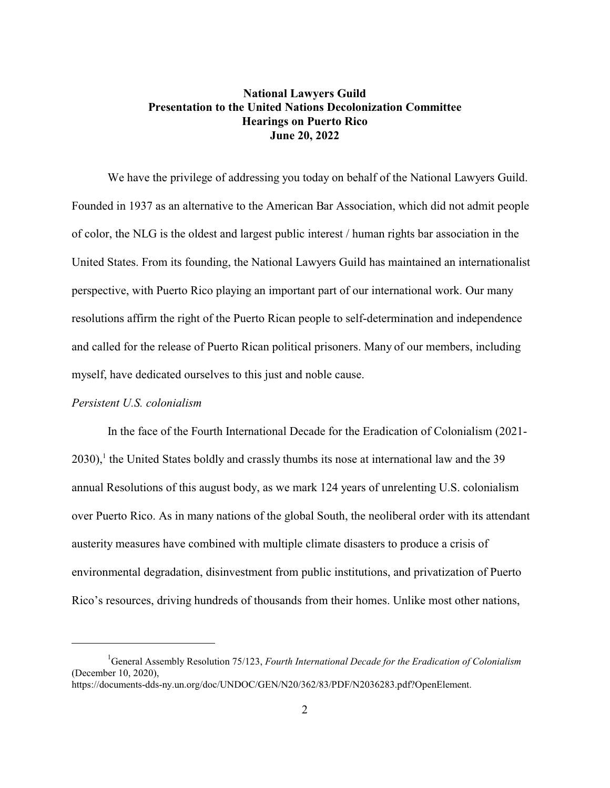# **National Lawyers Guild Presentation to the United Nations Decolonization Committee Hearings on Puerto Rico June 20, 2022**

We have the privilege of addressing you today on behalf of the National Lawyers Guild. Founded in 1937 as an alternative to the American Bar Association, which did not admit people of color, the NLG is the oldest and largest public interest / human rights bar association in the United States. From its founding, the National Lawyers Guild has maintained an internationalist perspective, with Puerto Rico playing an important part of our international work. Our many resolutions affirm the right of the Puerto Rican people to self-determination and independence and called for the release of Puerto Rican political prisoners. Many of our members, including myself, have dedicated ourselves to this just and noble cause.

#### *Persistent U.S. colonialism*

In the face of the Fourth International Decade for the Eradication of Colonialism (2021-  $2030$ ,<sup>1</sup> the United States boldly and crassly thumbs its nose at international law and the 39 annual Resolutions of this august body, as we mark 124 years of unrelenting U.S. colonialism over Puerto Rico. As in many nations of the global South, the neoliberal order with its attendant austerity measures have combined with multiple climate disasters to produce a crisis of environmental degradation, disinvestment from public institutions, and privatization of Puerto Rico's resources, driving hundreds of thousands from their homes. Unlike most other nations,

<sup>1</sup>General Assembly Resolution 75/123, *Fourth International Decade for the Eradication of Colonialism* (December 10, 2020), https://documents-dds-ny.un.org/doc/UNDOC/GEN/N20/362/83/PDF/N2036283.pdf?OpenElement.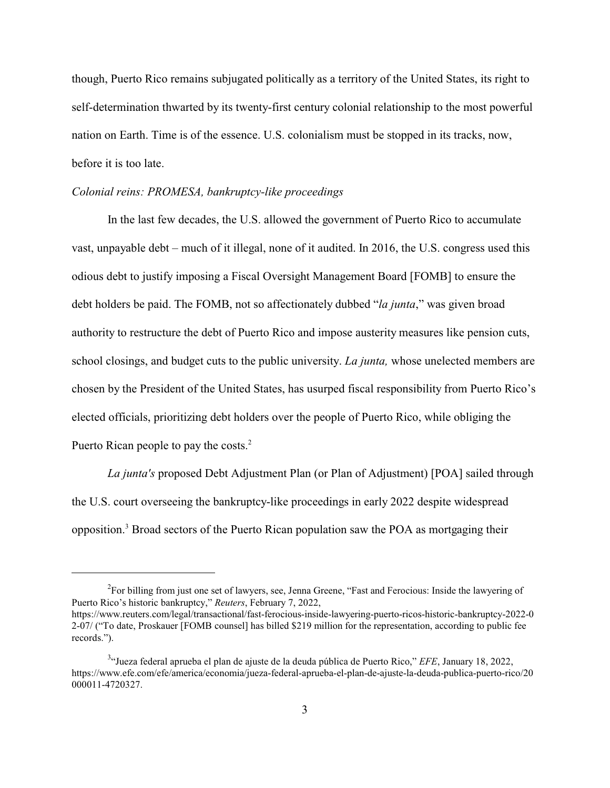though, Puerto Rico remains subjugated politically as a territory of the United States, its right to self-determination thwarted by its twenty-first century colonial relationship to the most powerful nation on Earth. Time is of the essence. U.S. colonialism must be stopped in its tracks, now, before it is too late.

### *Colonial reins: PROMESA, bankruptcy-like proceedings*

In the last few decades, the U.S. allowed the government of Puerto Rico to accumulate vast, unpayable debt – much of it illegal, none of it audited. In 2016, the U.S. congress used this odious debt to justify imposing a Fiscal Oversight Management Board [FOMB] to ensure the debt holders be paid. The FOMB, not so affectionately dubbed "*la junta*," was given broad authority to restructure the debt of Puerto Rico and impose austerity measures like pension cuts, school closings, and budget cuts to the public university. *La junta,* whose unelected members are chosen by the President of the United States, has usurped fiscal responsibility from Puerto Rico's elected officials, prioritizing debt holders over the people of Puerto Rico, while obliging the Puerto Rican people to pay the costs.<sup>2</sup>

*La junta's* proposed Debt Adjustment Plan (or Plan of Adjustment) [POA] sailed through the U.S. court overseeing the bankruptcy-like proceedings in early 2022 despite widespread opposition.<sup>3</sup> Broad sectors of the Puerto Rican population saw the POA as mortgaging their

<sup>&</sup>lt;sup>2</sup>For billing from just one set of lawyers, see, Jenna Greene, "Fast and Ferocious: Inside the lawyering of Puerto Rico's historic bankruptcy," *Reuters*, February 7, 2022,

https://www.reuters.com/legal/transactional/fast-ferocious-inside-lawyering-puerto-ricos-historic-bankruptcy-2022-0 2-07/ ("To date, Proskauer [FOMB counsel] has billed \$219 million for the representation, according to public fee records.").

<sup>3</sup> "Jueza federal aprueba el plan de ajuste de la deuda pública de Puerto Rico," *EFE*, January 18, 2022, https://www.efe.com/efe/america/economia/jueza-federal-aprueba-el-plan-de-ajuste-la-deuda-publica-puerto-rico/20 000011-4720327.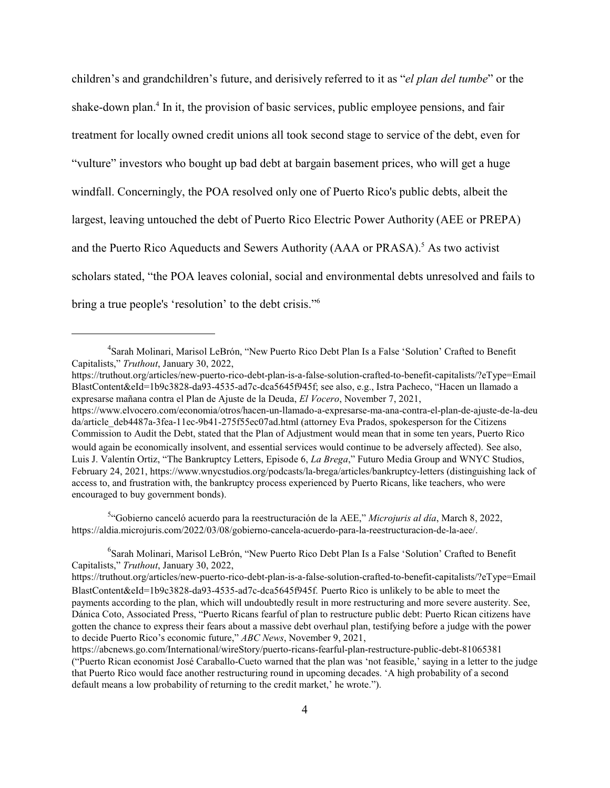children's and grandchildren's future, and derisively referred to it as "*el plan del tumbe*" or the shake-down plan.<sup>4</sup> In it, the provision of basic services, public employee pensions, and fair treatment for locally owned credit unions all took second stage to service of the debt, even for "vulture" investors who bought up bad debt at bargain basement prices, who will get a huge windfall. Concerningly, the POA resolved only one of Puerto Rico's public debts, albeit the largest, leaving untouched the debt of Puerto Rico Electric Power Authority (AEE or PREPA) and the Puerto Rico Aqueducts and Sewers Authority ( $AAA$  or PRASA).<sup>5</sup> As two activist scholars stated, "the POA leaves colonial, social and environmental debts unresolved and fails to bring a true people's 'resolution' to the debt crisis."<sup>6</sup>

5 "Gobierno canceló acuerdo para la reestructuración de la AEE," *Microjuris al día*, March 8, 2022, https://aldia.microjuris.com/2022/03/08/gobierno-cancela-acuerdo-para-la-reestructuracion-de-la-aee/.

6 Sarah Molinari, Marisol LeBrón, "New Puerto Rico Debt Plan Is a False 'Solution' Crafted to Benefit Capitalists," *Truthout*, January 30, 2022,

<sup>4</sup> Sarah Molinari, Marisol LeBrón, "New Puerto Rico Debt Plan Is a False 'Solution' Crafted to Benefit Capitalists," *Truthout*, January 30, 2022,

https://truthout.org/articles/new-puerto-rico-debt-plan-is-a-false-solution-crafted-to-benefit-capitalists/?eType=Email BlastContent&eId=1b9c3828-da93-4535-ad7c-dca5645f945f; see also, e.g., Istra Pacheco, "Hacen un llamado a expresarse mañana contra el Plan de Ajuste de la Deuda, *El Vocero*, November 7, 2021,

https://www.elvocero.com/economia/otros/hacen-un-llamado-a-expresarse-ma-ana-contra-el-plan-de-ajuste-de-la-deu da/article\_deb4487a-3fea-11ec-9b41-275f55ec07ad.html (attorney Eva Prados, spokesperson for the Citizens Commission to Audit the Debt, stated that the Plan of Adjustment would mean that in some ten years, Puerto Rico would again be economically insolvent, and essential services would continue to be adversely affected). See also, Luis J. Valentín Ortiz, "The Bankruptcy Letters, Episode 6, *La Brega*," Futuro Media Group and WNYC Studios, February 24, 2021, https://www.wnycstudios.org/podcasts/la-brega/articles/bankruptcy-letters (distinguishing lack of access to, and frustration with, the bankruptcy process experienced by Puerto Ricans, like teachers, who were encouraged to buy government bonds).

https://truthout.org/articles/new-puerto-rico-debt-plan-is-a-false-solution-crafted-to-benefit-capitalists/?eType=Email BlastContent&eId=1b9c3828-da93-4535-ad7c-dca5645f945f. Puerto Rico is unlikely to be able to meet the payments according to the plan, which will undoubtedly result in more restructuring and more severe austerity. See, Dánica Coto, Associated Press, "Puerto Ricans fearful of plan to restructure public debt: Puerto Rican citizens have gotten the chance to express their fears about a massive debt overhaul plan, testifying before a judge with the power to decide Puerto Rico's economic future," *ABC News*, November 9, 2021,

https://abcnews.go.com/International/wireStory/puerto-ricans-fearful-plan-restructure-public-debt-81065381 ("Puerto Rican economist José Caraballo-Cueto warned that the plan was 'not feasible,' saying in a letter to the judge that Puerto Rico would face another restructuring round in upcoming decades. 'A high probability of a second default means a low probability of returning to the credit market,' he wrote.").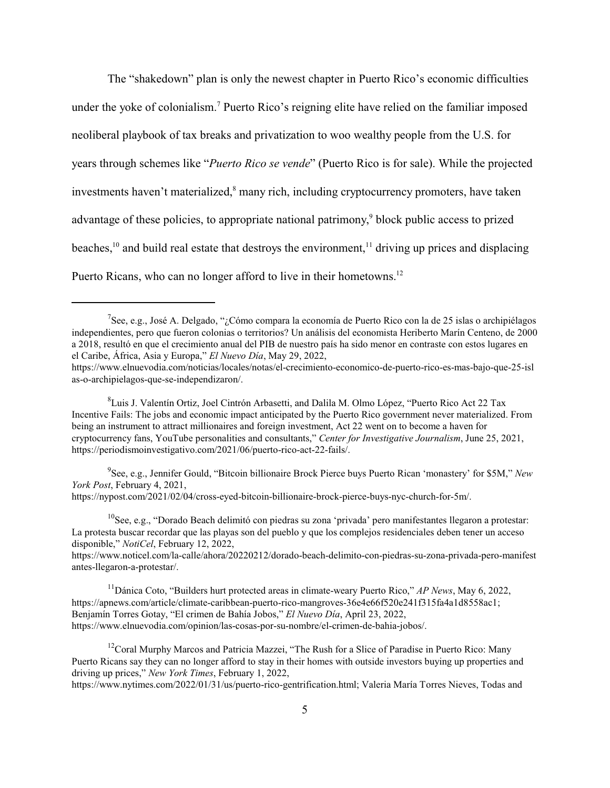The "shakedown" plan is only the newest chapter in Puerto Rico's economic difficulties under the yoke of colonialism.<sup>7</sup> Puerto Rico's reigning elite have relied on the familiar imposed neoliberal playbook of tax breaks and privatization to woo wealthy people from the U.S. for years through schemes like "*Puerto Rico se vende*" (Puerto Rico is for sale). While the projected investments haven't materialized,<sup>8</sup> many rich, including cryptocurrency promoters, have taken advantage of these policies, to appropriate national patrimony,<sup>9</sup> block public access to prized beaches,<sup>10</sup> and build real estate that destroys the environment,<sup>11</sup> driving up prices and displacing Puerto Ricans, who can no longer afford to live in their hometowns.<sup>12</sup>

9 See, e.g., Jennifer Gould, "Bitcoin billionaire Brock Pierce buys Puerto Rican 'monastery' for \$5M," *New York Post*, February 4, 2021,

https://nypost.com/2021/02/04/cross-eyed-bitcoin-billionaire-brock-pierce-buys-nyc-church-for-5m/.

<sup>10</sup>See, e.g., "Dorado Beach delimitó con piedras su zona 'privada' pero manifestantes llegaron a protestar: La protesta buscar recordar que las playas son del pueblo y que los complejos residenciales deben tener un acceso disponible," *NotiCel*, February 12, 2022,

https://www.noticel.com/la-calle/ahora/20220212/dorado-beach-delimito-con-piedras-su-zona-privada-pero-manifest antes-llegaron-a-protestar/.

<sup>11</sup>Dánica Coto, "Builders hurt protected areas in climate-weary Puerto Rico," *AP News*, May 6, 2022, https://apnews.com/article/climate-caribbean-puerto-rico-mangroves-36e4e66f520e241f315fa4a1d8558ac1; Benjamín Torres Gotay, "El crimen de Bahía Jobos," *El Nuevo Día*, April 23, 2022, https://www.elnuevodia.com/opinion/las-cosas-por-su-nombre/el-crimen-de-bahia-jobos/.

 $12$ Coral Murphy Marcos and Patricia Mazzei, "The Rush for a Slice of Paradise in Puerto Rico: Many Puerto Ricans say they can no longer afford to stay in their homes with outside investors buying up properties and driving up prices," *New York Times*, February 1, 2022,

https://www.nytimes.com/2022/01/31/us/puerto-rico-gentrification.html; Valeria María Torres Nieves, Todas and

<sup>&</sup>lt;sup>7</sup>See, e.g., José A. Delgado, "¿Cómo compara la economía de Puerto Rico con la de 25 islas o archipiélagos independientes, pero que fueron colonias o territorios? Un análisis del economista Heriberto Marín Centeno, de 2000 a 2018, resultó en que el crecimiento anual del PIB de nuestro país ha sido menor en contraste con estos lugares en el Caribe, África, Asia y Europa," *El Nuevo Día*, May 29, 2022,

https://www.elnuevodia.com/noticias/locales/notas/el-crecimiento-economico-de-puerto-rico-es-mas-bajo-que-25-isl as-o-archipielagos-que-se-independizaron/.

<sup>&</sup>lt;sup>8</sup>Luis J. Valentín Ortiz, Joel Cintrón Arbasetti, and Dalila M. Olmo López, "Puerto Rico Act 22 Tax Incentive Fails: The jobs and economic impact anticipated by the Puerto Rico government never materialized. From being an instrument to attract millionaires and foreign investment, Act 22 went on to become a haven for cryptocurrency fans, YouTube personalities and consultants," *Center for Investigative Journalism*, June 25, 2021, https://periodismoinvestigativo.com/2021/06/puerto-rico-act-22-fails/.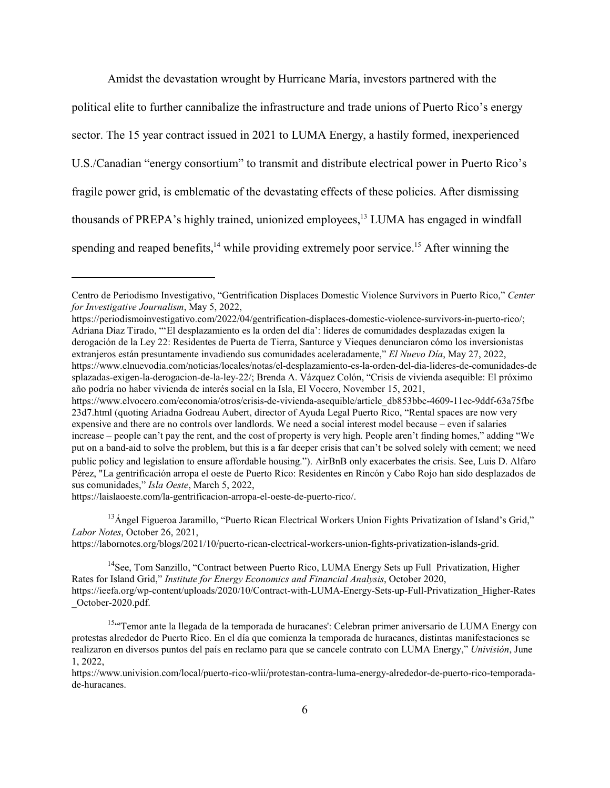Amidst the devastation wrought by Hurricane María, investors partnered with the

political elite to further cannibalize the infrastructure and trade unions of Puerto Rico's energy sector. The 15 year contract issued in 2021 to LUMA Energy, a hastily formed, inexperienced U.S./Canadian "energy consortium" to transmit and distribute electrical power in Puerto Rico's fragile power grid, is emblematic of the devastating effects of these policies. After dismissing thousands of PREPA's highly trained, unionized employees,<sup>13</sup> LUMA has engaged in windfall spending and reaped benefits,<sup>14</sup> while providing extremely poor service.<sup>15</sup> After winning the

https://periodismoinvestigativo.com/2022/04/gentrification-displaces-domestic-violence-survivors-in-puerto-rico/; Adriana Díaz Tirado, "'El desplazamiento es la orden del día': líderes de comunidades desplazadas exigen la derogación de la Ley 22: Residentes de Puerta de Tierra, Santurce y Vieques denunciaron cómo los inversionistas extranjeros están presuntamente invadiendo sus comunidades aceleradamente," *El Nuevo Día*, May 27, 2022, https://www.elnuevodia.com/noticias/locales/notas/el-desplazamiento-es-la-orden-del-dia-lideres-de-comunidades-de splazadas-exigen-la-derogacion-de-la-ley-22/; Brenda A. Vázquez Colón, "Crisis de vivienda asequible: El próximo año podría no haber vivienda de interés social en la Isla, El Vocero, November 15, 2021,

https://laislaoeste.com/la-gentrificacion-arropa-el-oeste-de-puerto-rico/.

<sup>13</sup> Ángel Figueroa Jaramillo, "Puerto Rican Electrical Workers Union Fights Privatization of Island's Grid," *Labor Notes*, October 26, 2021,

https://labornotes.org/blogs/2021/10/puerto-rican-electrical-workers-union-fights-privatization-islands-grid.

<sup>14</sup> See, Tom Sanzillo, "Contract between Puerto Rico, LUMA Energy Sets up Full Privatization, Higher Rates for Island Grid," *Institute for Energy Economics and Financial Analysis*, October 2020, https://ieefa.org/wp-content/uploads/2020/10/Contract-with-LUMA-Energy-Sets-up-Full-Privatization\_Higher-Rates \_October-2020.pdf.

Centro de Periodismo Investigativo, "Gentrification Displaces Domestic Violence Survivors in Puerto Rico," *Center for Investigative Journalism*, May 5, 2022,

https://www.elvocero.com/economia/otros/crisis-de-vivienda-asequible/article\_db853bbc-4609-11ec-9ddf-63a75fbe 23d7.html (quoting Ariadna Godreau Aubert, director of Ayuda Legal Puerto Rico, "Rental spaces are now very expensive and there are no controls over landlords. We need a social interest model because – even if salaries increase – people can't pay the rent, and the cost of property is very high. People aren't finding homes," adding "We put on a band-aid to solve the problem, but this is a far deeper crisis that can't be solved solely with cement; we need public policy and legislation to ensure affordable housing."). AirBnB only exacerbates the crisis. See, Luis D. Alfaro Pérez, "La gentrificación arropa el oeste de Puerto Rico: Residentes en Rincón y Cabo Rojo han sido desplazados de sus comunidades," *Isla Oeste*, March 5, 2022,

<sup>&</sup>lt;sup>15 co</sup> Temor ante la llegada de la temporada de huracanes': Celebran primer aniversario de LUMA Energy con protestas alrededor de Puerto Rico. En el día que comienza la temporada de huracanes, distintas manifestaciones se realizaron en diversos puntos del país en reclamo para que se cancele contrato con LUMA Energy," *Univisión*, June 1, 2022,

https://www.univision.com/local/puerto-rico-wlii/protestan-contra-luma-energy-alrededor-de-puerto-rico-temporadade-huracanes.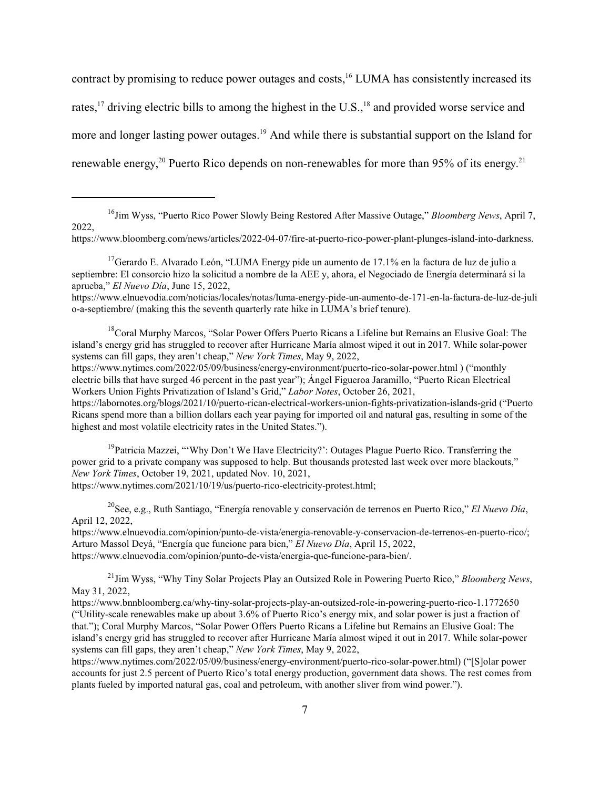contract by promising to reduce power outages and costs,<sup>16</sup> LUMA has consistently increased its rates,<sup>17</sup> driving electric bills to among the highest in the U.S.,<sup>18</sup> and provided worse service and more and longer lasting power outages.<sup>19</sup> And while there is substantial support on the Island for renewable energy,<sup>20</sup> Puerto Rico depends on non-renewables for more than 95% of its energy.<sup>21</sup>

<sup>18</sup>Coral Murphy Marcos, "Solar Power Offers Puerto Ricans a Lifeline but Remains an Elusive Goal: The island's energy grid has struggled to recover after Hurricane María almost wiped it out in 2017. While solar-power systems can fill gaps, they aren't cheap," *New York Times*, May 9, 2022,

https://www.nytimes.com/2022/05/09/business/energy-environment/puerto-rico-solar-power.html ) ("monthly electric bills that have surged 46 percent in the past year"); Ángel Figueroa Jaramillo, "Puerto Rican Electrical Workers Union Fights Privatization of Island's Grid," *Labor Notes*, October 26, 2021,

https://labornotes.org/blogs/2021/10/puerto-rican-electrical-workers-union-fights-privatization-islands-grid ("Puerto Ricans spend more than a billion dollars each year paying for imported oil and natural gas, resulting in some of the highest and most volatile electricity rates in the United States.").

<sup>19</sup> Patricia Mazzei, "'Why Don't We Have Electricity?': Outages Plague Puerto Rico. Transferring the power grid to a private company was supposed to help. But thousands protested last week over more blackouts," *New York Times*, October 19, 2021, updated Nov. 10, 2021, https://www.nytimes.com/2021/10/19/us/puerto-rico-electricity-protest.html;

<sup>20</sup>See, e.g., Ruth Santiago, "Energía renovable y conservación de terrenos en Puerto Rico," *El Nuevo Día*, April 12, 2022,

https://www.elnuevodia.com/opinion/punto-de-vista/energia-renovable-y-conservacion-de-terrenos-en-puerto-rico/; Arturo Massol Deyá, "Energía que funcione para bien," *El Nuevo Día*, April 15, 2022, https://www.elnuevodia.com/opinion/punto-de-vista/energia-que-funcione-para-bien/.

21 Jim Wyss, "Why Tiny Solar Projects Play an Outsized Role in Powering Puerto Rico," *Bloomberg News*, May 31, 2022,

https://www.bnnbloomberg.ca/why-tiny-solar-projects-play-an-outsized-role-in-powering-puerto-rico-1.1772650 ("Utility-scale renewables make up about 3.6% of Puerto Rico's energy mix, and solar power is just a fraction of that."); Coral Murphy Marcos, "Solar Power Offers Puerto Ricans a Lifeline but Remains an Elusive Goal: The island's energy grid has struggled to recover after Hurricane María almost wiped it out in 2017. While solar-power systems can fill gaps, they aren't cheap," *New York Times*, May 9, 2022,

https://www.nytimes.com/2022/05/09/business/energy-environment/puerto-rico-solar-power.html) ("[S]olar power accounts for just 2.5 percent of Puerto Rico's total energy production, government data shows. The rest comes from plants fueled by imported natural gas, coal and petroleum, with another sliver from wind power.").

<sup>&</sup>lt;sup>16</sup>Jim Wyss, "Puerto Rico Power Slowly Being Restored After Massive Outage," *Bloomberg News*, April 7, 2022,

https://www.bloomberg.com/news/articles/2022-04-07/fire-at-puerto-rico-power-plant-plunges-island-into-darkness.

<sup>&</sup>lt;sup>17</sup>Gerardo E. Alvarado León, "LUMA Energy pide un aumento de 17.1% en la factura de luz de julio a septiembre: El consorcio hizo la solicitud a nombre de la AEE y, ahora, el Negociado de Energía determinará si la aprueba," *El Nuevo Día*, June 15, 2022,

https://www.elnuevodia.com/noticias/locales/notas/luma-energy-pide-un-aumento-de-171-en-la-factura-de-luz-de-juli o-a-septiembre/ (making this the seventh quarterly rate hike in LUMA's brief tenure).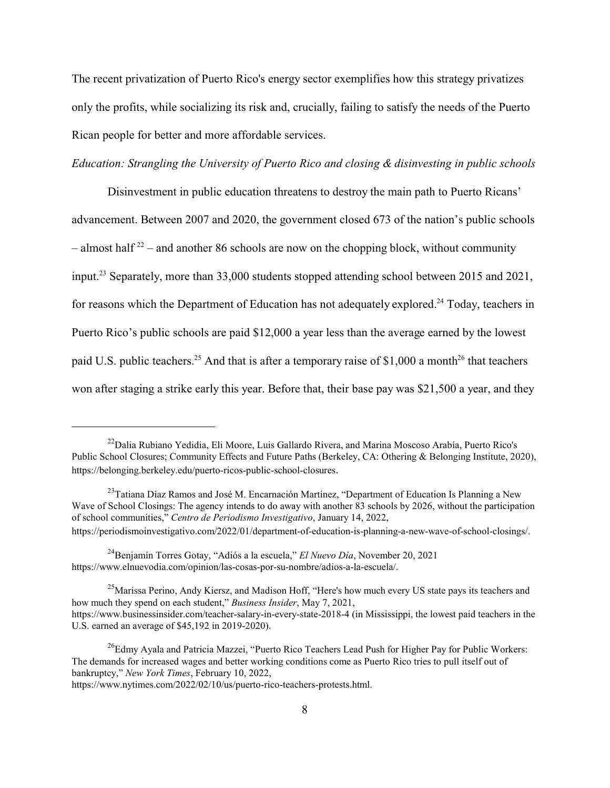The recent privatization of Puerto Rico's energy sector exemplifies how this strategy privatizes only the profits, while socializing its risk and, crucially, failing to satisfy the needs of the Puerto Rican people for better and more affordable services.

*Education: Strangling the University of Puerto Rico and closing & disinvesting in public schools*

Disinvestment in public education threatens to destroy the main path to Puerto Ricans' advancement. Between 2007 and 2020, the government closed 673 of the nation's public schools  $-$  almost half  $2^2$  – and another 86 schools are now on the chopping block, without community input.<sup>23</sup> Separately, more than 33,000 students stopped attending school between 2015 and 2021, for reasons which the Department of Education has not adequately explored.<sup>24</sup> Today, teachers in Puerto Rico's public schools are paid \$12,000 a year less than the average earned by the lowest paid U.S. public teachers.<sup>25</sup> And that is after a temporary raise of \$1,000 a month<sup>26</sup> that teachers won after staging a strike early this year. Before that, their base pay was \$21,500 a year, and they

<sup>22</sup>Dalia Rubiano Yedidia, Eli Moore, Luis Gallardo Rivera, and Marina Moscoso Arabía, Puerto Rico's Public School Closures; Community Effects and Future Paths (Berkeley, CA: Othering & Belonging Institute, 2020), https://belonging.berkeley.edu/puerto-ricos-public-school-closures.

<sup>&</sup>lt;sup>23</sup>Tatiana Díaz Ramos and José M. Encarnación Martínez, "Department of Education Is Planning a New Wave of School Closings: The agency intends to do away with another 83 schools by 2026, without the participation of school communities," *Centro de Periodismo Investigativo*, January 14, 2022, https://periodismoinvestigativo.com/2022/01/department-of-education-is-planning-a-new-wave-of-school-closings/.

<sup>24</sup>Benjamín Torres Gotay, "Adiós a la escuela," *El Nuevo Día*, November 20, 2021 https://www.elnuevodia.com/opinion/las-cosas-por-su-nombre/adios-a-la-escuela/.

<sup>&</sup>lt;sup>25</sup>Marissa Perino, Andy Kiersz, and Madison Hoff, "Here's how much every US state pays its teachers and how much they spend on each student," *Business Insider*, May 7, 2021, https://www.businessinsider.com/teacher-salary-in-every-state-2018-4 (in Mississippi, the lowest paid teachers in the U.S. earned an average of \$45,192 in 2019-2020).

<sup>&</sup>lt;sup>26</sup>Edmy Ayala and Patricia Mazzei, "Puerto Rico Teachers Lead Push for Higher Pay for Public Workers: The demands for increased wages and better working conditions come as Puerto Rico tries to pull itself out of bankruptcy," *New York Times*, February 10, 2022,

https://www.nytimes.com/2022/02/10/us/puerto-rico-teachers-protests.html.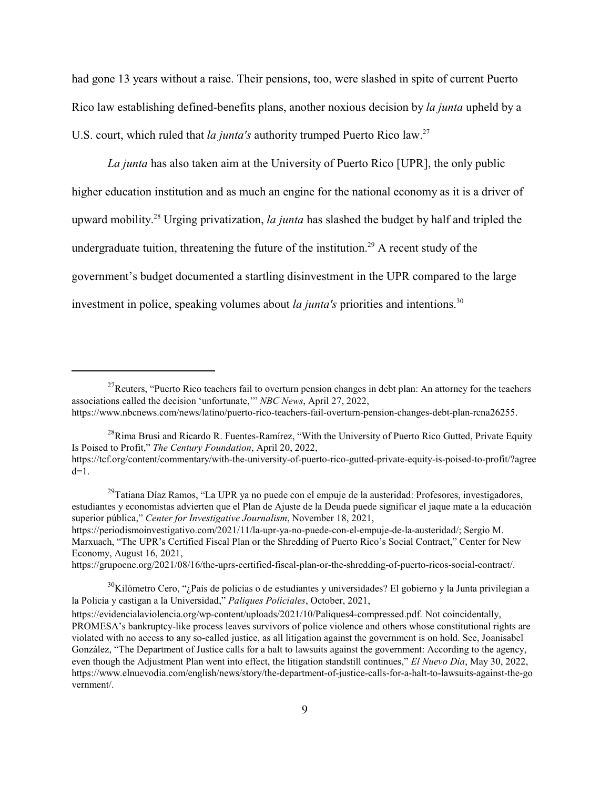had gone 13 years without a raise. Their pensions, too, were slashed in spite of current Puerto Rico law establishing defined-benefits plans, another noxious decision by *la junta* upheld by a U.S. court, which ruled that *la junta's* authority trumped Puerto Rico law.<sup>27</sup>

*La junta* has also taken aim at the University of Puerto Rico [UPR], the only public higher education institution and as much an engine for the national economy as it is a driver of upward mobility. <sup>28</sup> Urging privatization, *la junta* has slashed the budget by half and tripled the undergraduate tuition, threatening the future of the institution.<sup>29</sup> A recent study of the government's budget documented a startling disinvestment in the UPR compared to the large investment in police, speaking volumes about *la junta's* priorities and intentions.<sup>30</sup>

https://periodismoinvestigativo.com/2021/11/la-upr-ya-no-puede-con-el-empuje-de-la-austeridad/; Sergio M. Marxuach, "The UPR's Certified Fiscal Plan or the Shredding of Puerto Rico's Social Contract," Center for New Economy, August 16, 2021,

https://grupocne.org/2021/08/16/the-uprs-certified-fiscal-plan-or-the-shredding-of-puerto-ricos-social-contract/.

 $^{27}$ Reuters, "Puerto Rico teachers fail to overturn pension changes in debt plan: An attorney for the teachers associations called the decision 'unfortunate,'" *NBC News*, April 27, 2022, https://www.nbcnews.com/news/latino/puerto-rico-teachers-fail-overturn-pension-changes-debt-plan-rcna26255.

 $^{28}$ Rima Brusi and Ricardo R. Fuentes-Ramírez, "With the University of Puerto Rico Gutted, Private Equity Is Poised to Profit," *The Century Foundation*, April 20, 2022,

https://tcf.org/content/commentary/with-the-university-of-puerto-rico-gutted-private-equity-is-poised-to-profit/?agree  $d=1$ .

<sup>&</sup>lt;sup>29</sup>Tatiana Díaz Ramos, "La UPR ya no puede con el empuje de la austeridad: Profesores, investigadores, estudiantes y economistas advierten que el Plan de Ajuste de la Deuda puede significar el jaque mate a la educación superior pública," *Center for Investigative Journalism*, November 18, 2021,

<sup>&</sup>lt;sup>30</sup>Kilómetro Cero, "¿País de policías o de estudiantes y universidades? El gobierno y la Junta privilegian a la Policía y castigan a la Universidad," *Paliques Policiales*, October, 2021,

https://evidencialaviolencia.org/wp-content/uploads/2021/10/Paliques4-compressed.pdf. Not coincidentally, PROMESA's bankruptcy-like process leaves survivors of police violence and others whose constitutional rights are violated with no access to any so-called justice, as all litigation against the government is on hold. See, Joanisabel González, "The Department of Justice calls for a halt to lawsuits against the government: According to the agency, even though the Adjustment Plan went into effect, the litigation standstill continues," *El Nuevo Día*, May 30, 2022, https://www.elnuevodia.com/english/news/story/the-department-of-justice-calls-for-a-halt-to-lawsuits-against-the-go vernment/.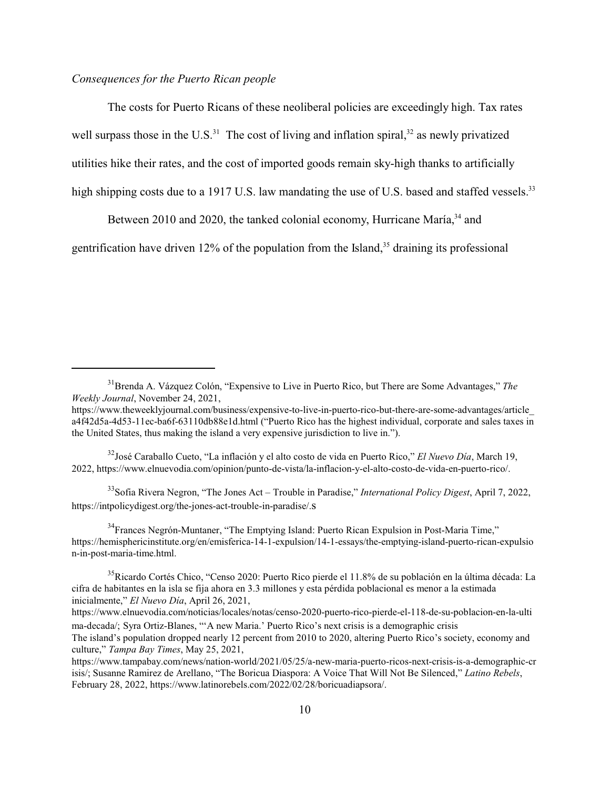## *Consequences for the Puerto Rican people*

The costs for Puerto Ricans of these neoliberal policies are exceedingly high. Tax rates well surpass those in the U.S. $31$  The cost of living and inflation spiral,  $32$  as newly privatized utilities hike their rates, and the cost of imported goods remain sky-high thanks to artificially high shipping costs due to a 1917 U.S. law mandating the use of U.S. based and staffed vessels.<sup>33</sup>

Between 2010 and 2020, the tanked colonial economy, Hurricane María,<sup>34</sup> and

gentrification have driven 12% of the population from the Island,<sup>35</sup> draining its professional

32 José Caraballo Cueto, "La inflación y el alto costo de vida en Puerto Rico," *El Nuevo Día*, March 19, 2022, https://www.elnuevodia.com/opinion/punto-de-vista/la-inflacion-y-el-alto-costo-de-vida-en-puerto-rico/.

33 Sofia Rivera Negron, "The Jones Act – Trouble in Paradise," *International Policy Digest*, April 7, 2022, https://intpolicydigest.org/the-jones-act-trouble-in-paradise/.s

<sup>34</sup> Frances Negrón-Muntaner, "The Emptying Island: Puerto Rican Expulsion in Post-Maria Time," https://hemisphericinstitute.org/en/emisferica-14-1-expulsion/14-1-essays/the-emptying-island-puerto-rican-expulsio n-in-post-maria-time.html.

https://www.elnuevodia.com/noticias/locales/notas/censo-2020-puerto-rico-pierde-el-118-de-su-poblacion-en-la-ulti ma-decada/; Syra Ortiz-Blanes, "'A new Maria.' Puerto Rico's next crisis is a demographic crisis

<sup>31</sup>Brenda A. Vázquez Colón, "Expensive to Live in Puerto Rico, but There are Some Advantages," *The Weekly Journal*, November 24, 2021,

https://www.theweeklyjournal.com/business/expensive-to-live-in-puerto-rico-but-there-are-some-advantages/article\_ a4f42d5a-4d53-11ec-ba6f-63110db88e1d.html ("Puerto Rico has the highest individual, corporate and sales taxes in the United States, thus making the island a very expensive jurisdiction to live in.").

<sup>&</sup>lt;sup>35</sup>Ricardo Cortés Chico, "Censo 2020: Puerto Rico pierde el 11.8% de su población en la última década: La cifra de habitantes en la isla se fija ahora en 3.3 millones y esta pérdida poblacional es menor a la estimada inicialmente," *El Nuevo Día*, April 26, 2021,

The island's population dropped nearly 12 percent from 2010 to 2020, altering Puerto Rico's society, economy and culture," *Tampa Bay Times*, May 25, 2021,

https://www.tampabay.com/news/nation-world/2021/05/25/a-new-maria-puerto-ricos-next-crisis-is-a-demographic-cr isis/; Susanne Ramirez de Arellano, "The Boricua Diaspora: A Voice That Will Not Be Silenced," *Latino Rebels*, February 28, 2022, https://www.latinorebels.com/2022/02/28/boricuadiapsora/.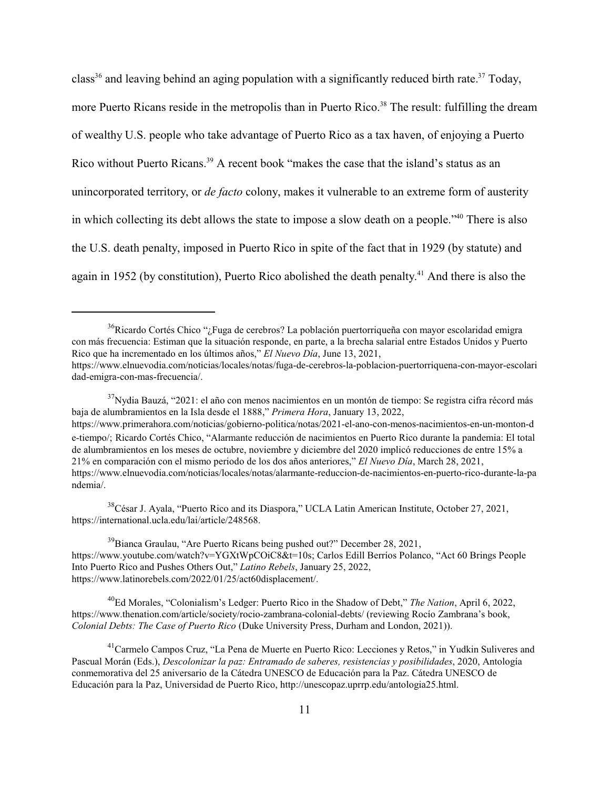class<sup>36</sup> and leaving behind an aging population with a significantly reduced birth rate.<sup>37</sup> Today, more Puerto Ricans reside in the metropolis than in Puerto Rico.<sup>38</sup> The result: fulfilling the dream of wealthy U.S. people who take advantage of Puerto Rico as a tax haven, of enjoying a Puerto Rico without Puerto Ricans.<sup>39</sup> A recent book "makes the case that the island's status as an unincorporated territory, or *de facto* colony, makes it vulnerable to an extreme form of austerity in which collecting its debt allows the state to impose a slow death on a people."<sup>40</sup> There is also the U.S. death penalty, imposed in Puerto Rico in spite of the fact that in 1929 (by statute) and again in 1952 (by constitution), Puerto Rico abolished the death penalty.<sup>41</sup> And there is also the

 $37$ Nydia Bauzá, "2021: el año con menos nacimientos en un montón de tiempo: Se registra cifra récord más baja de alumbramientos en la Isla desde el 1888," *Primera Hora*, January 13, 2022, https://www.primerahora.com/noticias/gobierno-politica/notas/2021-el-ano-con-menos-nacimientos-en-un-monton-d e-tiempo/; Ricardo Cortés Chico, "Alarmante reducción de nacimientos en Puerto Rico durante la pandemia: El total de alumbramientos en los meses de octubre, noviembre y diciembre del 2020 implicó reducciones de entre 15% a 21% en comparación con el mismo periodo de los dos años anteriores," *El Nuevo Día*, March 28, 2021, https://www.elnuevodia.com/noticias/locales/notas/alarmante-reduccion-de-nacimientos-en-puerto-rico-durante-la-pa ndemia/.

 $38^3$ César J. Ayala, "Puerto Rico and its Diaspora," UCLA Latin American Institute, October 27, 2021, https://international.ucla.edu/lai/article/248568.

 $39\overline{B}$ Bianca Graulau, "Are Puerto Ricans being pushed out?" December 28, 2021, https://www.youtube.com/watch?v=YGXtWpCOiC8&t=10s; Carlos Edill Berríos Polanco, "Act 60 Brings People Into Puerto Rico and Pushes Others Out," *Latino Rebels*, January 25, 2022, https://www.latinorebels.com/2022/01/25/act60displacement/.

40 Ed Morales, "Colonialism's Ledger: Puerto Rico in the Shadow of Debt," *The Nation*, April 6, 2022, https://www.thenation.com/article/society/rocio-zambrana-colonial-debts/ (reviewing Rocío Zambrana's book, *Colonial Debts: The Case of Puerto Rico* (Duke University Press, Durham and London, 2021)).

<sup>41</sup>Carmelo Campos Cruz, "La Pena de Muerte en Puerto Rico: Lecciones y Retos," in Yudkin Suliveres and Pascual Morán (Eds.), *Descolonizar la paz: Entramado de saberes, resistencias y posibilidades*, 2020, Antología conmemorativa del 25 aniversario de la Cátedra UNESCO de Educación para la Paz. Cátedra UNESCO de Educación para la Paz, Universidad de Puerto Rico, http://unescopaz.uprrp.edu/antologia25.html.

 $36Ricardo Cortés Chico "iFuga de cerebros? La población puertorriqueña con mayor escolaridad emigra$ con más frecuencia: Estiman que la situación responde, en parte, a la brecha salarial entre Estados Unidos y Puerto Rico que ha incrementado en los últimos años," *El Nuevo Día*, June 13, 2021, https://www.elnuevodia.com/noticias/locales/notas/fuga-de-cerebros-la-poblacion-puertorriquena-con-mayor-escolari

dad-emigra-con-mas-frecuencia/.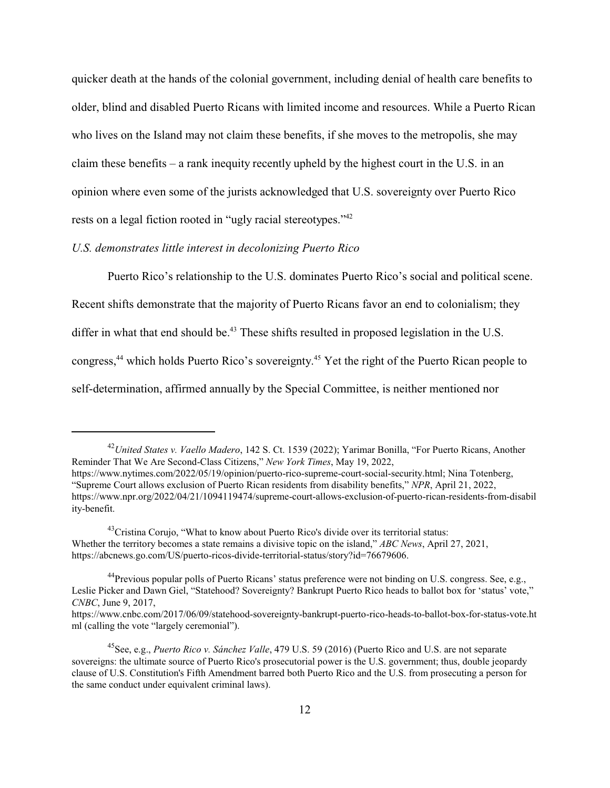quicker death at the hands of the colonial government, including denial of health care benefits to older, blind and disabled Puerto Ricans with limited income and resources. While a Puerto Rican who lives on the Island may not claim these benefits, if she moves to the metropolis, she may claim these benefits – a rank inequity recently upheld by the highest court in the U.S. in an opinion where even some of the jurists acknowledged that U.S. sovereignty over Puerto Rico rests on a legal fiction rooted in "ugly racial stereotypes."<sup>42</sup>

## *U.S. demonstrates little interest in decolonizing Puerto Rico*

Puerto Rico's relationship to the U.S. dominates Puerto Rico's social and political scene.

Recent shifts demonstrate that the majority of Puerto Ricans favor an end to colonialism; they

differ in what that end should be.<sup>43</sup> These shifts resulted in proposed legislation in the U.S.

congress,<sup>44</sup> which holds Puerto Rico's sovereignty.<sup>45</sup> Yet the right of the Puerto Rican people to

self-determination, affirmed annually by the Special Committee, is neither mentioned nor

<sup>42</sup>*United States v. Vaello Madero*, 142 S. Ct. 1539 (2022); Yarimar Bonilla, "For Puerto Ricans, Another Reminder That We Are Second-Class Citizens," *New York Times*, May 19, 2022,

https://www.nytimes.com/2022/05/19/opinion/puerto-rico-supreme-court-social-security.html; Nina Totenberg, "Supreme Court allows exclusion of Puerto Rican residents from disability benefits," *NPR*, April 21, 2022, https://www.npr.org/2022/04/21/1094119474/supreme-court-allows-exclusion-of-puerto-rican-residents-from-disabil ity-benefit.

 $43$ Cristina Corujo, "What to know about Puerto Rico's divide over its territorial status: Whether the territory becomes a state remains a divisive topic on the island," *ABC News*, April 27, 2021, https://abcnews.go.com/US/puerto-ricos-divide-territorial-status/story?id=76679606.

<sup>&</sup>lt;sup>44</sup> Previous popular polls of Puerto Ricans' status preference were not binding on U.S. congress. See, e.g., Leslie Picker and Dawn Giel, "Statehood? Sovereignty? Bankrupt Puerto Rico heads to ballot box for 'status' vote," *CNBC*, June 9, 2017,

https://www.cnbc.com/2017/06/09/statehood-sovereignty-bankrupt-puerto-rico-heads-to-ballot-box-for-status-vote.ht ml (calling the vote "largely ceremonial").

<sup>45</sup> See, e.g., *Puerto Rico v. Sánchez Valle*, 479 U.S. 59 (2016) (Puerto Rico and U.S. are not separate sovereigns: the ultimate source of Puerto Rico's prosecutorial power is the U.S. government; thus, double jeopardy clause of U.S. Constitution's Fifth Amendment barred both Puerto Rico and the U.S. from prosecuting a person for the same conduct under equivalent criminal laws).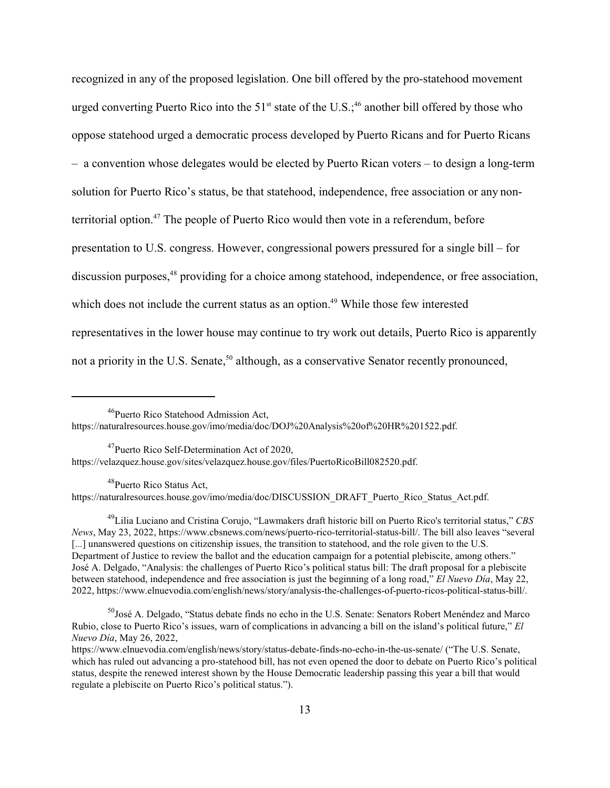recognized in any of the proposed legislation. One bill offered by the pro-statehood movement urged converting Puerto Rico into the  $51<sup>st</sup>$  state of the U.S.;<sup>46</sup> another bill offered by those who oppose statehood urged a democratic process developed by Puerto Ricans and for Puerto Ricans – a convention whose delegates would be elected by Puerto Rican voters – to design a long-term solution for Puerto Rico's status, be that statehood, independence, free association or any nonterritorial option.<sup>47</sup> The people of Puerto Rico would then vote in a referendum, before presentation to U.S. congress. However, congressional powers pressured for a single bill – for discussion purposes,<sup>48</sup> providing for a choice among statehood, independence, or free association, which does not include the current status as an option.<sup>49</sup> While those few interested representatives in the lower house may continue to try work out details, Puerto Rico is apparently not a priority in the U.S. Senate,<sup>50</sup> although, as a conservative Senator recently pronounced,

<sup>46</sup>Puerto Rico Statehood Admission Act, https://naturalresources.house.gov/imo/media/doc/DOJ%20Analysis%20of%20HR%201522.pdf.

<sup>47</sup>Puerto Rico Self-Determination Act of 2020, https://velazquez.house.gov/sites/velazquez.house.gov/files/PuertoRicoBill082520.pdf.

48 Puerto Rico Status Act, https://naturalresources.house.gov/imo/media/doc/DISCUSSION\_DRAFT\_Puerto\_Rico\_Status\_Act.pdf.

49 Lilia Luciano and Cristina Corujo, "Lawmakers draft historic bill on Puerto Rico's territorial status," *CBS News*, May 23, 2022, https://www.cbsnews.com/news/puerto-rico-territorial-status-bill/. The bill also leaves "several [...] unanswered questions on citizenship issues, the transition to statehood, and the role given to the U.S. Department of Justice to review the ballot and the education campaign for a potential plebiscite, among others." José A. Delgado, "Analysis: the challenges of Puerto Rico's political status bill: The draft proposal for a plebiscite between statehood, independence and free association is just the beginning of a long road," *El Nuevo Día*, May 22, 2022, https://www.elnuevodia.com/english/news/story/analysis-the-challenges-of-puerto-ricos-political-status-bill/.

<sup>&</sup>lt;sup>50</sup>José A. Delgado, "Status debate finds no echo in the U.S. Senate: Senators Robert Menéndez and Marco Rubio, close to Puerto Rico's issues, warn of complications in advancing a bill on the island's political future," *El Nuevo Día*, May 26, 2022,

https://www.elnuevodia.com/english/news/story/status-debate-finds-no-echo-in-the-us-senate/ ("The U.S. Senate, which has ruled out advancing a pro-statehood bill, has not even opened the door to debate on Puerto Rico's political status, despite the renewed interest shown by the House Democratic leadership passing this year a bill that would regulate a plebiscite on Puerto Rico's political status.").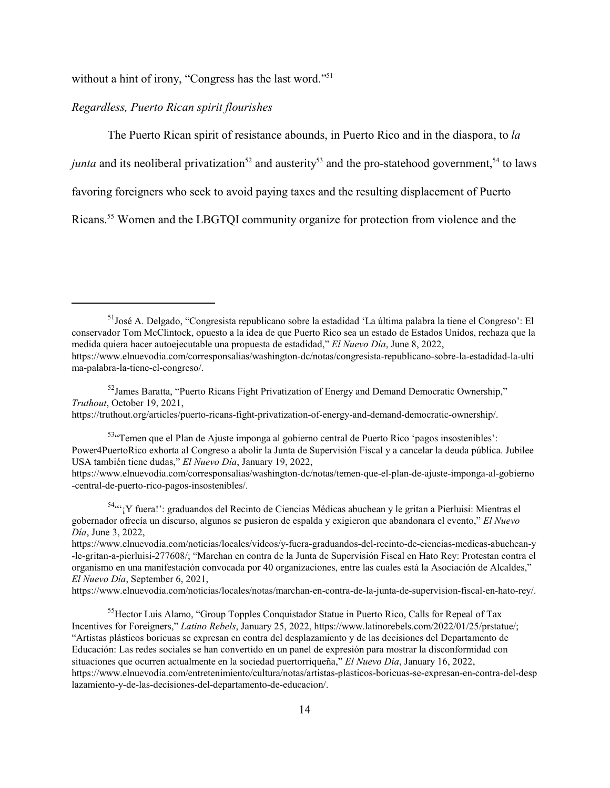without a hint of irony, "Congress has the last word."<sup>51</sup>

#### *Regardless, Puerto Rican spirit flourishes*

The Puerto Rican spirit of resistance abounds, in Puerto Rico and in the diaspora, to *la*

*junta* and its neoliberal privatization<sup>52</sup> and austerity<sup>53</sup> and the pro-statehood government,<sup>54</sup> to laws

favoring foreigners who seek to avoid paying taxes and the resulting displacement of Puerto

Ricans.<sup>55</sup> Women and the LBGTQI community organize for protection from violence and the

https://www.elnuevodia.com/noticias/locales/notas/marchan-en-contra-de-la-junta-de-supervision-fiscal-en-hato-rey/.

<sup>&</sup>lt;sup>51</sup>José A. Delgado, "Congresista republicano sobre la estadidad 'La última palabra la tiene el Congreso': El conservador Tom McClintock, opuesto a la idea de que Puerto Rico sea un estado de Estados Unidos, rechaza que la medida quiera hacer autoejecutable una propuesta de estadidad," *El Nuevo Día*, June 8, 2022, https://www.elnuevodia.com/corresponsalias/washington-dc/notas/congresista-republicano-sobre-la-estadidad-la-ulti ma-palabra-la-tiene-el-congreso/.

<sup>&</sup>lt;sup>52</sup> James Baratta, "Puerto Ricans Fight Privatization of Energy and Demand Democratic Ownership," *Truthout*, October 19, 2021,

https://truthout.org/articles/puerto-ricans-fight-privatization-of-energy-and-demand-democratic-ownership/.

<sup>&</sup>lt;sup>53</sup>"Temen que el Plan de Ajuste imponga al gobierno central de Puerto Rico 'pagos insostenibles': Power4PuertoRico exhorta al Congreso a abolir la Junta de Supervisión Fiscal y a cancelar la deuda pública. Jubilee USA también tiene dudas," *El Nuevo Día*, January 19, 2022,

https://www.elnuevodia.com/corresponsalias/washington-dc/notas/temen-que-el-plan-de-ajuste-imponga-al-gobierno -central-de-puerto-rico-pagos-insostenibles/.

<sup>&</sup>lt;sup>54</sup>"¡Y fuera!': graduandos del Recinto de Ciencias Médicas abuchean y le gritan a Pierluisi: Mientras el gobernador ofrecía un discurso, algunos se pusieron de espalda y exigieron que abandonara el evento," *El Nuevo Día*, June 3, 2022,

https://www.elnuevodia.com/noticias/locales/videos/y-fuera-graduandos-del-recinto-de-ciencias-medicas-abuchean-y -le-gritan-a-pierluisi-277608/; "Marchan en contra de la Junta de Supervisión Fiscal en Hato Rey: Protestan contra el organismo en una manifestación convocada por 40 organizaciones, entre las cuales está la Asociación de Alcaldes," *El Nuevo Día*, September 6, 2021,

 $<sup>55</sup>$ Hector Luis Alamo, "Group Topples Conquistador Statue in Puerto Rico, Calls for Repeal of Tax</sup> Incentives for Foreigners," *Latino Rebels*, January 25, 2022, https://www.latinorebels.com/2022/01/25/prstatue/; "Artistas plásticos boricuas se expresan en contra del desplazamiento y de las decisiones del Departamento de Educación: Las redes sociales se han convertido en un panel de expresión para mostrar la disconformidad con situaciones que ocurren actualmente en la sociedad puertorriqueña," *El Nuevo Día*, January 16, 2022, https://www.elnuevodia.com/entretenimiento/cultura/notas/artistas-plasticos-boricuas-se-expresan-en-contra-del-desp lazamiento-y-de-las-decisiones-del-departamento-de-educacion/.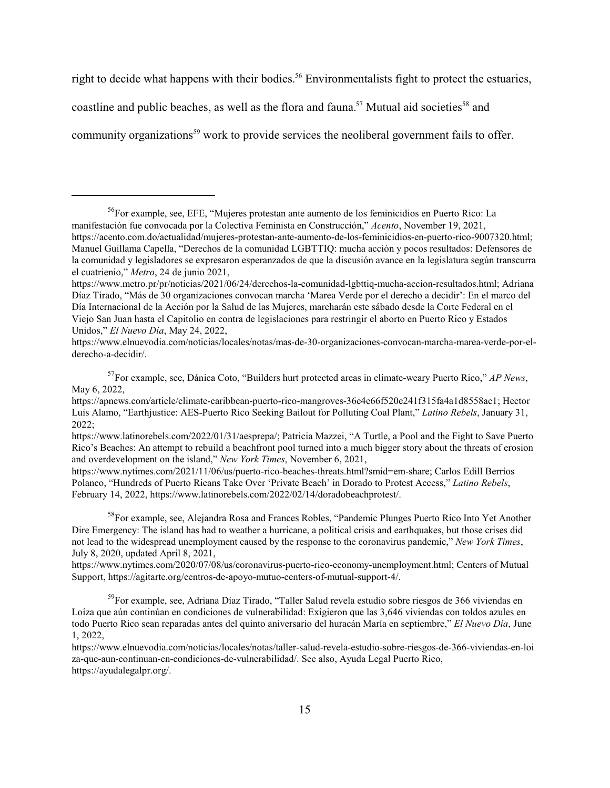right to decide what happens with their bodies.<sup>56</sup> Environmentalists fight to protect the estuaries,

coastline and public beaches, as well as the flora and fauna.<sup>57</sup> Mutual aid societies<sup>58</sup> and

community organizations<sup>59</sup> work to provide services the neoliberal government fails to offer.

57 For example, see, Dánica Coto, "Builders hurt protected areas in climate-weary Puerto Rico," *AP News*, May 6, 2022,

<sup>&</sup>lt;sup>56</sup>For example, see, EFE, "Mujeres protestan ante aumento de los feminicidios en Puerto Rico: La manifestación fue convocada por la Colectiva Feminista en Construcción," *Acento*, November 19, 2021, https://acento.com.do/actualidad/mujeres-protestan-ante-aumento-de-los-feminicidios-en-puerto-rico-9007320.html; Manuel Guillama Capella, "Derechos de la comunidad LGBTTIQ: mucha acción y pocos resultados: Defensores de la comunidad y legisladores se expresaron esperanzados de que la discusión avance en la legislatura según transcurra el cuatrienio," *Metro*, 24 de junio 2021,

https://www.metro.pr/pr/noticias/2021/06/24/derechos-la-comunidad-lgbttiq-mucha-accion-resultados.html; Adriana Díaz Tirado, "Más de 30 organizaciones convocan marcha 'Marea Verde por el derecho a decidir': En el marco del Día Internacional de la Acción por la Salud de las Mujeres, marcharán este sábado desde la Corte Federal en el Viejo San Juan hasta el Capitolio en contra de legislaciones para restringir el aborto en Puerto Rico y Estados Unidos," *El Nuevo Día*, May 24, 2022,

https://www.elnuevodia.com/noticias/locales/notas/mas-de-30-organizaciones-convocan-marcha-marea-verde-por-elderecho-a-decidir/.

https://apnews.com/article/climate-caribbean-puerto-rico-mangroves-36e4e66f520e241f315fa4a1d8558ac1; Hector Luis Alamo, "Earthjustice: AES-Puerto Rico Seeking Bailout for Polluting Coal Plant," *Latino Rebels*, January 31, 2022;

https://www.latinorebels.com/2022/01/31/aesprepa/; Patricia Mazzei, "A Turtle, a Pool and the Fight to Save Puerto Rico's Beaches: An attempt to rebuild a beachfront pool turned into a much bigger story about the threats of erosion and overdevelopment on the island," *New York Times*, November 6, 2021,

https://www.nytimes.com/2021/11/06/us/puerto-rico-beaches-threats.html?smid=em-share; Carlos Edill Berríos Polanco, "Hundreds of Puerto Ricans Take Over 'Private Beach' in Dorado to Protest Access," *Latino Rebels*, February 14, 2022, https://www.latinorebels.com/2022/02/14/doradobeachprotest/.

<sup>&</sup>lt;sup>58</sup> For example, see, Alejandra Rosa and Frances Robles, "Pandemic Plunges Puerto Rico Into Yet Another Dire Emergency: The island has had to weather a hurricane, a political crisis and earthquakes, but those crises did not lead to the widespread unemployment caused by the response to the coronavirus pandemic," *New York Times*, July 8, 2020, updated April 8, 2021,

https://www.nytimes.com/2020/07/08/us/coronavirus-puerto-rico-economy-unemployment.html; Centers of Mutual Support, https://agitarte.org/centros-de-apoyo-mutuo-centers-of-mutual-support-4/.

<sup>&</sup>lt;sup>59</sup>For example, see, Adriana Díaz Tirado, "Taller Salud revela estudio sobre riesgos de 366 viviendas en Loíza que aún continúan en condiciones de vulnerabilidad: Exigieron que las 3,646 viviendas con toldos azules en todo Puerto Rico sean reparadas antes del quinto aniversario del huracán María en septiembre," *El Nuevo Día*, June 1, 2022,

https://www.elnuevodia.com/noticias/locales/notas/taller-salud-revela-estudio-sobre-riesgos-de-366-viviendas-en-loi za-que-aun-continuan-en-condiciones-de-vulnerabilidad/. See also, Ayuda Legal Puerto Rico, https://ayudalegalpr.org/.